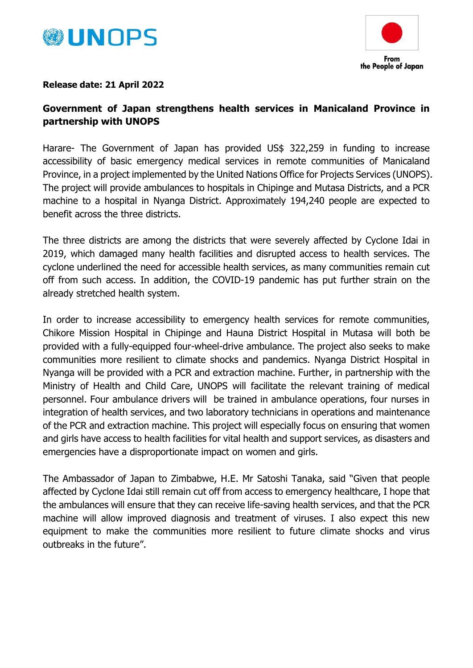



## **Release date: 21 April 2022**

## **Government of Japan strengthens health services in Manicaland Province in partnership with UNOPS**

Harare- The Government of Japan has provided US\$ 322,259 in funding to increase accessibility of basic emergency medical services in remote communities of Manicaland Province, in a project implemented by the United Nations Office for Projects Services (UNOPS). The project will provide ambulances to hospitals in Chipinge and Mutasa Districts, and a PCR machine to a hospital in Nyanga District. Approximately 194,240 people are expected to benefit across the three districts.

The three districts are among the districts that were severely affected by Cyclone Idai in 2019, which damaged many health facilities and disrupted access to health services. The cyclone underlined the need for accessible health services, as many communities remain cut off from such access. In addition, the COVID-19 pandemic has put further strain on the already stretched health system.

In order to increase accessibility to emergency health services for remote communities, Chikore Mission Hospital in Chipinge and Hauna District Hospital in Mutasa will both be provided with a fully-equipped four-wheel-drive ambulance. The project also seeks to make communities more resilient to climate shocks and pandemics. Nyanga District Hospital in Nyanga will be provided with a PCR and extraction machine. Further, in partnership with the Ministry of Health and Child Care, UNOPS will facilitate the relevant training of medical personnel. Four ambulance drivers will be trained in ambulance operations, four nurses in integration of health services, and two laboratory technicians in operations and maintenance of the PCR and extraction machine. This project will especially focus on ensuring that women and girls have access to health facilities for vital health and support services, as disasters and emergencies have a disproportionate impact on women and girls.

The Ambassador of Japan to Zimbabwe, H.E. Mr Satoshi Tanaka, said "Given that people affected by Cyclone Idai still remain cut off from access to emergency healthcare, I hope that the ambulances will ensure that they can receive life-saving health services, and that the PCR machine will allow improved diagnosis and treatment of viruses. I also expect this new equipment to make the communities more resilient to future climate shocks and virus outbreaks in the future".